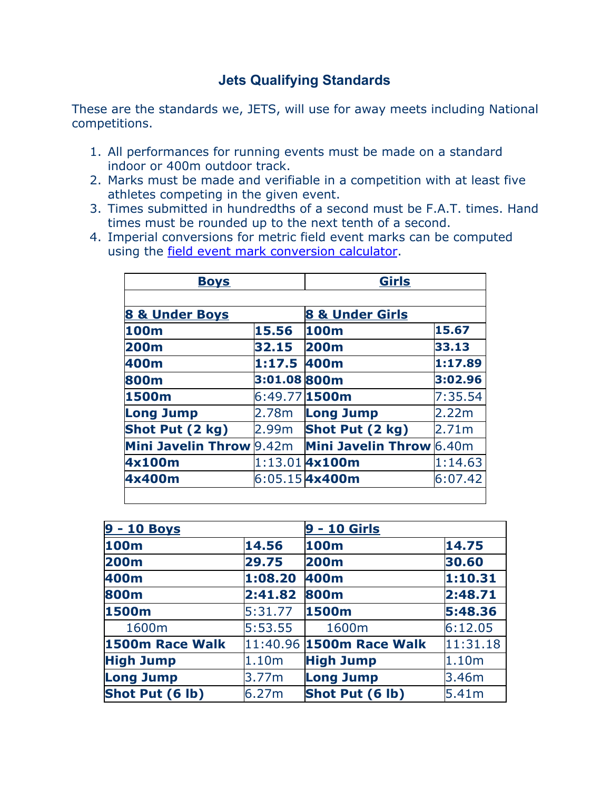## **Jets Qualifying Standards**

These are the standards we, JETS, will use for away meets including National competitions.

- 1. All performances for running events must be made on a standard indoor or 400m outdoor track.
- 2. Marks must be made and verifiable in a competition with at least five athletes competing in the given event.
- 3. Times submitted in hundredths of a second must be F.A.T. times. Hand times must be rounded up to the next tenth of a second.
- 4. Imperial conversions for metric field event marks can be computed using the [field event mark conversion calculator](http://www.usatf.org/statistics/calculators/markConversions/).

| <b>Boys</b>                     |                   | <b>Girls</b>               |         |  |
|---------------------------------|-------------------|----------------------------|---------|--|
| 8 & Under Boys                  |                   | <b>8 &amp; Under Girls</b> |         |  |
| 15.56<br>100m                   |                   | 15.67<br>100m              |         |  |
| <b>200m</b>                     | 32.15             | <b>200m</b>                | 33.13   |  |
| 400m                            | 1:17.5 400m       |                            | 1:17.89 |  |
| 800m                            | 3:01.08800m       |                            | 3:02.96 |  |
| 1500m                           | 6:49.77 1500m     |                            | 7:35.54 |  |
| <b>Long Jump</b>                | 2.78m             | <b>Long Jump</b>           | 2.22m   |  |
| Shot Put (2 kg)                 | 2.99 <sub>m</sub> | Shot Put (2 kg)            | 2.71m   |  |
| <b>Mini Javelin Throw 9.42m</b> |                   | Mini Javelin Throw 6.40m   |         |  |
| 4x100m                          |                   | $1:13.01$ 4x100m           | 1:14.63 |  |
| 4x400m                          |                   | 6:05.15 <b>4x400m</b>      | 6:07.42 |  |

| 9 - 10 Boys      |         | 9 - 10 Girls             |          |
|------------------|---------|--------------------------|----------|
| 100m             | 14.56   | <b>100m</b>              | 14.75    |
| <b>200m</b>      | 29.75   | <b>200m</b>              | 30.60    |
| 400m             | 1:08.20 | 400m                     | 1:10.31  |
| 800m             | 2:41.82 | 800m                     | 2:48.71  |
| 1500m            | 5:31.77 | 1500m                    | 5:48.36  |
| 1600m            | 5:53.55 | 1600m                    | 6:12.05  |
| 1500m Race Walk  |         | 11:40.96 1500m Race Walk | 11:31.18 |
| <b>High Jump</b> | 1.10m   | <b>High Jump</b>         | 1.10m    |
| <b>Long Jump</b> | 3.77m   | <b>Long Jump</b>         | 3.46m    |
| Shot Put (6 lb)  | 6.27m   | Shot Put (6 lb)          | 5.41m    |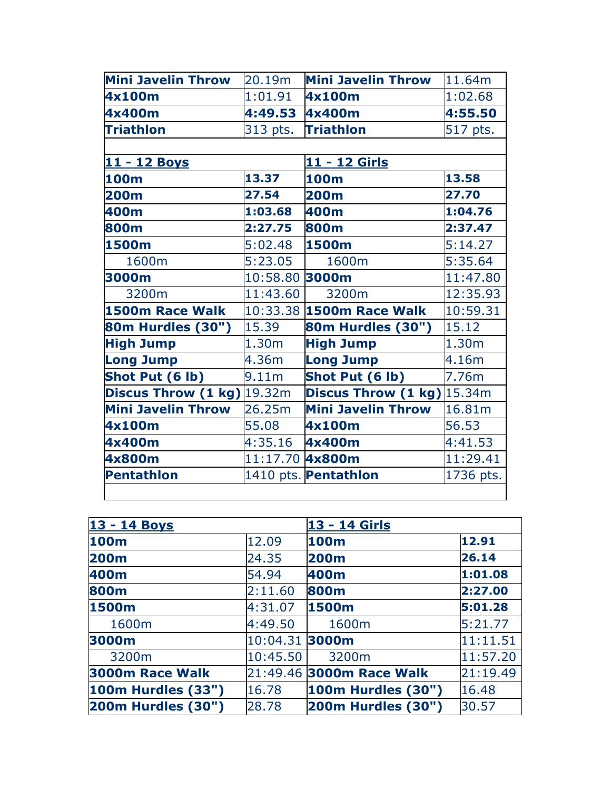| Mini Javelin Throw                    | 20.19m            | <b>Mini Javelin Throw</b>           | 11.64m            |  |
|---------------------------------------|-------------------|-------------------------------------|-------------------|--|
| 4x100m                                | 1:01.91           | 4x100m                              | 1:02.68           |  |
| 4x400m                                | 4:49.53 4x400m    |                                     | 4:55.50           |  |
| <b>Triathlon</b>                      | 313 pts.          | <b>Triathlon</b>                    | 517 pts.          |  |
|                                       |                   |                                     |                   |  |
| 11 - 12 Boys                          |                   | 11 - 12 Girls                       |                   |  |
| 100m                                  | 13.37             | <b>100m</b>                         | 13.58             |  |
| <b>200m</b>                           | 27.54             | <b>200m</b>                         | 27.70             |  |
| 400m                                  | 1:03.68           | 400m                                | 1:04.76           |  |
| 800m                                  | 2:27.75           | <b>800m</b>                         | 2:37.47           |  |
| 1500m                                 | 5:02.48           | 1500m                               | 5:14.27           |  |
| 1600m                                 | 5:23.05           | 1600m                               | 5:35.64           |  |
| 3000m                                 | 10:58.80 3000m    |                                     | 11:47.80          |  |
| 3200m                                 | 11:43.60          | 3200m                               | 12:35.93          |  |
| 1500m Race Walk                       |                   | 10:33.38 1500m Race Walk            | 10:59.31          |  |
| <b>80m Hurdles (30")</b>              | 15.39             | <b>80m Hurdles (30")</b>            | 15.12             |  |
| <b>High Jump</b>                      | 1.30m             | <b>High Jump</b>                    | 1.30 <sub>m</sub> |  |
| <b>Long Jump</b>                      | 4.36m             | <b>Long Jump</b>                    | 4.16m             |  |
| Shot Put (6 lb)                       | 9.11 <sub>m</sub> | Shot Put (6 lb)                     | 7.76m             |  |
| <b>Discus Throw (1 kg)</b> $ 19.32m $ |                   | <b>Discus Throw (1 kg)</b> $15.34m$ |                   |  |
| <b>Mini Javelin Throw</b>             | 26.25m            | <b>Mini Javelin Throw</b>           | 16.81m            |  |
| 4x100m                                | 55.08             | 4x100m                              | 56.53             |  |
| 4x400m                                | 4:35.16           | 4x400m                              | 4:41.53           |  |
| 4x800m                                | 11:17.70 4x800m   |                                     | 11:29.41          |  |
| <b>Pentathlon</b>                     |                   | 1410 pts. Pentathlon                | 1736 pts.         |  |
|                                       |                   |                                     |                   |  |

| 13 - 14 Boys            |                    | 13 - 14 Girls             |          |
|-------------------------|--------------------|---------------------------|----------|
| <b>100m</b>             | 12.09              | 100m                      | 12.91    |
| <b>200m</b>             | 24.35              | 200m                      | 26.14    |
| 400m                    | 54.94              | 400m                      | 1:01.08  |
| <b>800m</b>             | 2:11.60            | 800m                      | 2:27.00  |
| 1500m                   | 4:31.07            | 1500m                     | 5:01.28  |
| 1600m                   | 4:49.50            | 1600m                     | 5:21.77  |
| 3000m                   | $ 10:04.31 $ 3000m |                           | 11:11.51 |
| 3200m                   | 10:45.50           | 3200m                     | 11:57.20 |
| 3000m Race Walk         |                    | 21:49.46 3000m Race Walk  | 21:19.49 |
| $100m$ Hurdles $(33")$  | 16.78              | <b>100m Hurdles (30")</b> | 16.48    |
| $ 200m$ Hurdles $(30")$ | 28.78              | <b>200m Hurdles (30")</b> | 30.57    |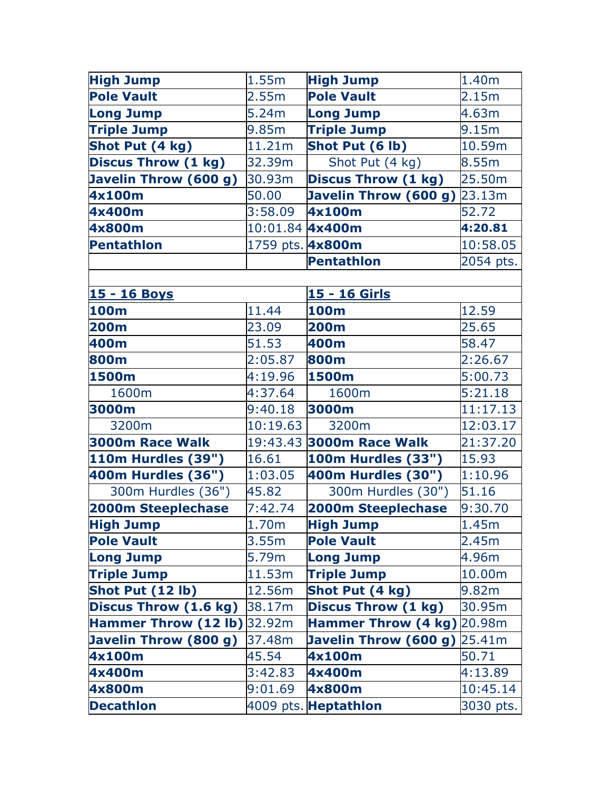| <b>High Jump</b>           | 1.55m            | <b>High Jump</b>           | 1.40m     |
|----------------------------|------------------|----------------------------|-----------|
| <b>Pole Vault</b>          | 2.55m            | <b>Pole Vault</b>          | 2.15m     |
| <b>Long Jump</b>           | 5.24m            | <b>Long Jump</b>           | 4.63m     |
| <b>Triple Jump</b>         | 9.85m            | <b>Triple Jump</b>         | 9.15m     |
| Shot Put (4 kg)            | 11.21m           | Shot Put (6 lb)            | 10.59m    |
| <b>Discus Throw (1 kg)</b> | 32.39m           | Shot Put (4 kg)            | 8.55m     |
| Javelin Throw (600 g)      | 30.93m           | <b>Discus Throw (1 kg)</b> | 25.50m    |
| 4x100m                     | 50.00            | Javelin Throw (600 g)      | 23.13m    |
| 4x400m                     | 3:58.09          | 4x100m                     | 52.72     |
| 4x800m                     | 10:01.84 4x400m  |                            | 4:20.81   |
| <b>Pentathlon</b>          | 1759 pts. 4x800m |                            | 10:58.05  |
|                            |                  | <b>Pentathlon</b>          | 2054 pts. |
|                            |                  |                            |           |

| 15 - 16 Boys                 |                   | 15 - 16 Girls                  |           |  |
|------------------------------|-------------------|--------------------------------|-----------|--|
| 100m                         | 11.44             | <b>100m</b>                    | 12.59     |  |
| <b>200m</b>                  | 23.09             | 200m                           | 25.65     |  |
| 400m                         | 51.53             | 400m                           | 58.47     |  |
| 800m                         | 2:05.87           | 800m                           | 2:26.67   |  |
| 1500m                        | 4:19.96           | 1500m                          | 5:00.73   |  |
| 1600m                        | 4:37.64           | 1600m                          | 5:21.18   |  |
| 3000m                        | 9:40.18           | 3000m                          | 11:17.13  |  |
| 3200m                        | 10:19.63          | 3200m                          | 12:03.17  |  |
| 3000m Race Walk              |                   | 19:43.43 3000m Race Walk       | 21:37.20  |  |
| <b>110m Hurdles (39")</b>    | 16.61             | <b>100m Hurdles (33")</b>      | 15.93     |  |
| 400m Hurdles (36")           | 1:03.05           | 400m Hurdles (30")             | 1:10.96   |  |
| 300m Hurdles (36")           | 45.82             | 300m Hurdles (30")             | 51.16     |  |
| <b>2000m Steeplechase</b>    | 7:42.74           | 2000m Steeplechase             | 9:30.70   |  |
| <b>High Jump</b>             | 1.70 <sub>m</sub> | <b>High Jump</b>               | 1.45m     |  |
| <b>Pole Vault</b>            | 3.55m             | <b>Pole Vault</b>              | 2.45m     |  |
| <b>Long Jump</b>             | 5.79m             | <b>Long Jump</b>               | 4.96m     |  |
| <b>Triple Jump</b>           | 11.53m            | <b>Triple Jump</b>             | 10.00m    |  |
| Shot Put (12 lb)             | 12.56m            | Shot Put (4 kg)                | 9.82m     |  |
| <b>Discus Throw (1.6 kg)</b> | 38.17m            | <b>Discus Throw (1 kg)</b>     | 30.95m    |  |
| Hammer Throw (12 lb) 32.92m  |                   | Hammer Throw (4 kg) 20.98m     |           |  |
| Javelin Throw (800 g)        | 37.48m            | Javelin Throw $(600 g)$ 25.41m |           |  |
| 4x100m                       | 45.54             | 4x100m                         | 50.71     |  |
| 4x400m                       | 3:42.83           | 4x400m                         | 4:13.89   |  |
| 4x800m                       | 9:01.69           | 4x800m                         | 10:45.14  |  |
| <b>Decathlon</b>             |                   | 4009 pts. Heptathlon           | 3030 pts. |  |